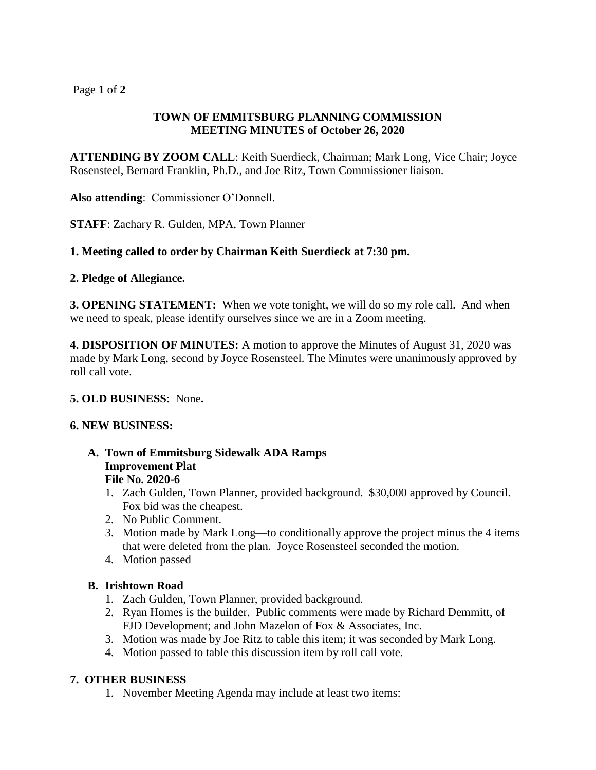# Page **1** of **2**

# **TOWN OF EMMITSBURG PLANNING COMMISSION MEETING MINUTES of October 26, 2020**

**ATTENDING BY ZOOM CALL**: Keith Suerdieck, Chairman; Mark Long, Vice Chair; Joyce Rosensteel, Bernard Franklin, Ph.D., and Joe Ritz, Town Commissioner liaison.

**Also attending**: Commissioner O'Donnell.

**STAFF**: Zachary R. Gulden, MPA, Town Planner

### **1. Meeting called to order by Chairman Keith Suerdieck at 7:30 pm.**

### **2. Pledge of Allegiance.**

**3. OPENING STATEMENT:** When we vote tonight, we will do so my role call. And when we need to speak, please identify ourselves since we are in a Zoom meeting.

**4. DISPOSITION OF MINUTES:** A motion to approve the Minutes of August 31, 2020 was made by Mark Long, second by Joyce Rosensteel. The Minutes were unanimously approved by roll call vote.

#### **5. OLD BUSINESS**: None**.**

#### **6. NEW BUSINESS:**

- **A. Town of Emmitsburg Sidewalk ADA Ramps Improvement Plat File No. 2020-6**
	- 1. Zach Gulden, Town Planner, provided background. \$30,000 approved by Council. Fox bid was the cheapest.
	- 2. No Public Comment.
	- 3. Motion made by Mark Long—to conditionally approve the project minus the 4 items that were deleted from the plan. Joyce Rosensteel seconded the motion.
	- 4. Motion passed

# **B. Irishtown Road**

- 1. Zach Gulden, Town Planner, provided background.
- 2. Ryan Homes is the builder. Public comments were made by Richard Demmitt, of FJD Development; and John Mazelon of Fox & Associates, Inc.
- 3. Motion was made by Joe Ritz to table this item; it was seconded by Mark Long.
- 4. Motion passed to table this discussion item by roll call vote.

# **7. OTHER BUSINESS**

1. November Meeting Agenda may include at least two items: